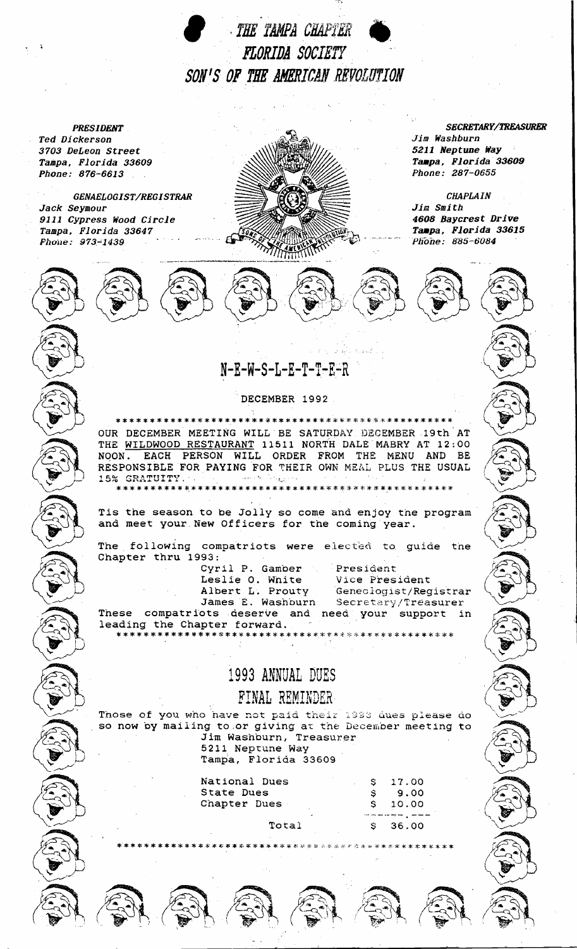THE TAMPA CHAPTER FLORIDA SOCIETY SON'S OF THE AMERICAN REVOLUTION

**PRESIDENT** Ted Dickerson 3703 DeLeon Street Tampa, Florida 33609 Phone: 876-6613

GENAELOGIST/REGISTRAR Jack Seymour 9111 Cypress Wood Circle Tampa, Florida 33647 Phone: 973-1439



**SECRETARY/TREASURER** Jim Washburn 5211 Neptune Way Tampa, Florida 33609 Phone: 287-0655

**CHAPLAIN** Jim Smith 4608 Baycrest Drive Tampa, Florida 33615 Phone: 885-6084



DECEMBER 1992

OUR DECEMBER MEETING WILL BE SATURDAY DECEMBER 19th AT THE WILDWOOD RESTAURANT 11511 NORTH DALE MABRY AT 12:00 NOON. EACH PERSON WILL ORDER FROM THE MENU AND BE RESPONSIBLE FOR PAYING FOR THEIR OWN MEAL PLUS THE USUAL 15% GRATUITY.

\*\*\*\*\*\*\*\*\*\*\*\*\*\*\*\*\*\*\*\*\*\*\*\*\*\*\*

Tis the season to be Jolly so come and enjoy the program and meet your New Officers for the coming year.

The following compatriots were elected to guide the Chapter thru 1993:

> Cyril P. Gamber Leslie O. White Albert L. Prouty James E. Washburn

President Vice President Geneclogist/Registrar Secretary/Treasurer

These compatriots deserve and need your support in leading the Chapter forward. 

## 1993 ANNUAL DUES

FINAL REMINDER

Those of you who have not paid their 1993 dues please do so now by mailing to or giving at the December meeting to Jim Washburn, Treasurer 5211 Neptune Way

Tampa, Florida 33609

| National Dues | \$17.00     |
|---------------|-------------|
| State Dues    | 9.00        |
| Chapter Dues  | $S = 10.00$ |
|               |             |
| エヘナヘフ         | 25 O.O      |